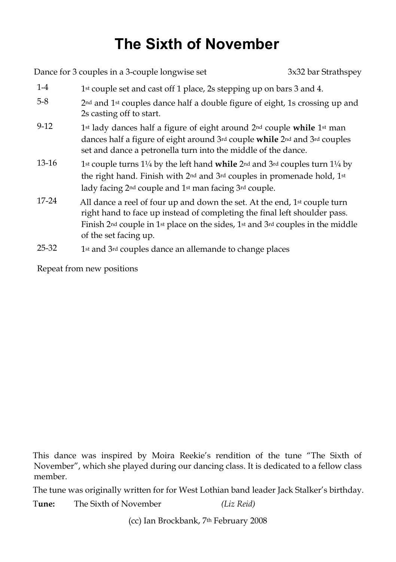## **The Sixth of November**

|         | Dance for 3 couples in a 3-couple longwise set                                                                                                                                                                                                                                                                   | 3x32 bar Strathspey |
|---------|------------------------------------------------------------------------------------------------------------------------------------------------------------------------------------------------------------------------------------------------------------------------------------------------------------------|---------------------|
| $1-4$   | 1st couple set and cast off 1 place, 2s stepping up on bars 3 and 4.                                                                                                                                                                                                                                             |                     |
| $5-8$   | 2 <sup>nd</sup> and 1 <sup>st</sup> couples dance half a double figure of eight, 1s crossing up and<br>2s casting off to start.                                                                                                                                                                                  |                     |
| $9-12$  | 1st lady dances half a figure of eight around 2 <sup>nd</sup> couple while 1st man<br>dances half a figure of eight around 3rd couple while 2nd and 3rd couples<br>set and dance a petronella turn into the middle of the dance.                                                                                 |                     |
| $13-16$ | 1st couple turns $1\frac{1}{4}$ by the left hand while $2nd$ and $3rd$ couples turn $1\frac{1}{4}$ by<br>the right hand. Finish with 2 <sup>nd</sup> and 3 <sup>rd</sup> couples in promenade hold, 1 <sup>st</sup><br>lady facing 2 <sup>nd</sup> couple and 1 <sup>st</sup> man facing 3 <sup>rd</sup> couple. |                     |
| 17-24   | All dance a reel of four up and down the set. At the end, 1st couple turn<br>right hand to face up instead of completing the final left shoulder pass.<br>Finish $2nd$ couple in 1 <sup>st</sup> place on the sides, 1 <sup>st</sup> and $3rd$ couples in the middle<br>of the set facing up.                    |                     |
| 25-32   | 1st and 3rd couples dance an allemande to change places                                                                                                                                                                                                                                                          |                     |

Repeat from new positions

This dance was inspired by Moira Reekie's rendition of the tune "The Sixth of November", which she played during our dancing class. It is dedicated to a fellow class member.

The tune was originally written for for West Lothian band leader Jack Stalker's birthday.

T**une:** The Sixth of November *(Liz Reid)*

(cc) Ian Brockbank, 7th February 2008